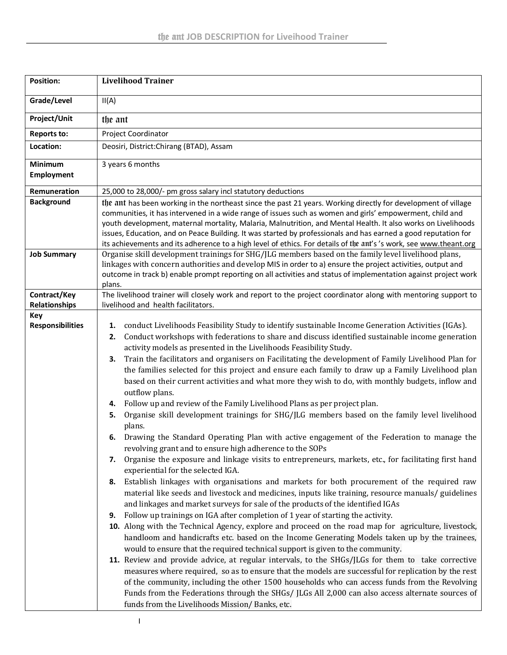| <b>Position:</b>        | <b>Livelihood Trainer</b>                                                                                                                                                                                                                                                                                                                                                                                                                                         |
|-------------------------|-------------------------------------------------------------------------------------------------------------------------------------------------------------------------------------------------------------------------------------------------------------------------------------------------------------------------------------------------------------------------------------------------------------------------------------------------------------------|
| Grade/Level             | II(A)                                                                                                                                                                                                                                                                                                                                                                                                                                                             |
| Project/Unit            | the ant                                                                                                                                                                                                                                                                                                                                                                                                                                                           |
| <b>Reports to:</b>      | Project Coordinator                                                                                                                                                                                                                                                                                                                                                                                                                                               |
| Location:               | Deosiri, District: Chirang (BTAD), Assam                                                                                                                                                                                                                                                                                                                                                                                                                          |
| Minimum                 | 3 years 6 months                                                                                                                                                                                                                                                                                                                                                                                                                                                  |
| <b>Employment</b>       |                                                                                                                                                                                                                                                                                                                                                                                                                                                                   |
| Remuneration            | 25,000 to 28,000/- pm gross salary incl statutory deductions                                                                                                                                                                                                                                                                                                                                                                                                      |
| <b>Background</b>       | the ant has been working in the northeast since the past 21 years. Working directly for development of village                                                                                                                                                                                                                                                                                                                                                    |
|                         | communities, it has intervened in a wide range of issues such as women and girls' empowerment, child and<br>youth development, maternal mortality, Malaria, Malnutrition, and Mental Health. It also works on Livelihoods<br>issues, Education, and on Peace Building. It was started by professionals and has earned a good reputation for<br>its achievements and its adherence to a high level of ethics. For details of the ant's 's work, see www.theant.org |
| <b>Job Summary</b>      | Organise skill development trainings for SHG/JLG members based on the family level livelihood plans,                                                                                                                                                                                                                                                                                                                                                              |
|                         | linkages with concern authorities and develop MIS in order to a) ensure the project activities, output and<br>outcome in track b) enable prompt reporting on all activities and status of implementation against project work                                                                                                                                                                                                                                     |
|                         | plans.                                                                                                                                                                                                                                                                                                                                                                                                                                                            |
| Contract/Key            | The livelihood trainer will closely work and report to the project coordinator along with mentoring support to                                                                                                                                                                                                                                                                                                                                                    |
| <b>Relationships</b>    | livelihood and health facilitators.                                                                                                                                                                                                                                                                                                                                                                                                                               |
| Key                     |                                                                                                                                                                                                                                                                                                                                                                                                                                                                   |
| <b>Responsibilities</b> | conduct Livelihoods Feasibility Study to identify sustainable Income Generation Activities (IGAs).<br>1.                                                                                                                                                                                                                                                                                                                                                          |
|                         | Conduct workshops with federations to share and discuss identified sustainable income generation<br>2.                                                                                                                                                                                                                                                                                                                                                            |
|                         | activity models as presented in the Livelihoods Feasibility Study.<br>Train the facilitators and organisers on Facilitating the development of Family Livelihood Plan for                                                                                                                                                                                                                                                                                         |
|                         | з.<br>the families selected for this project and ensure each family to draw up a Family Livelihood plan                                                                                                                                                                                                                                                                                                                                                           |
|                         | based on their current activities and what more they wish to do, with monthly budgets, inflow and                                                                                                                                                                                                                                                                                                                                                                 |
|                         | outflow plans.                                                                                                                                                                                                                                                                                                                                                                                                                                                    |
|                         | Follow up and review of the Family Livelihood Plans as per project plan.<br>4.                                                                                                                                                                                                                                                                                                                                                                                    |
|                         | Organise skill development trainings for SHG/JLG members based on the family level livelihood<br>5.                                                                                                                                                                                                                                                                                                                                                               |
|                         | plans.                                                                                                                                                                                                                                                                                                                                                                                                                                                            |
|                         | Drawing the Standard Operating Plan with active engagement of the Federation to manage the<br>6.                                                                                                                                                                                                                                                                                                                                                                  |
|                         | revolving grant and to ensure high adherence to the SOPs                                                                                                                                                                                                                                                                                                                                                                                                          |
|                         | Organise the exposure and linkage visits to entrepreneurs, markets, etc., for facilitating first hand<br>7.<br>experiential for the selected IGA.                                                                                                                                                                                                                                                                                                                 |
|                         | Establish linkages with organisations and markets for both procurement of the required raw<br>8.                                                                                                                                                                                                                                                                                                                                                                  |
|                         | material like seeds and livestock and medicines, inputs like training, resource manuals/ guidelines                                                                                                                                                                                                                                                                                                                                                               |
|                         | and linkages and market surveys for sale of the products of the identified IGAs                                                                                                                                                                                                                                                                                                                                                                                   |
|                         | Follow up trainings on IGA after completion of 1 year of starting the activity.<br>9.                                                                                                                                                                                                                                                                                                                                                                             |
|                         | 10. Along with the Technical Agency, explore and proceed on the road map for agriculture, livestock,                                                                                                                                                                                                                                                                                                                                                              |
|                         | handloom and handicrafts etc. based on the Income Generating Models taken up by the trainees,                                                                                                                                                                                                                                                                                                                                                                     |
|                         | would to ensure that the required technical support is given to the community.                                                                                                                                                                                                                                                                                                                                                                                    |
|                         | 11. Review and provide advice, at regular intervals, to the SHGs/JLGs for them to take corrective<br>measures where required, so as to ensure that the models are successful for replication by the rest                                                                                                                                                                                                                                                          |
|                         | of the community, including the other 1500 households who can access funds from the Revolving                                                                                                                                                                                                                                                                                                                                                                     |
|                         | Funds from the Federations through the SHGs/ JLGs All 2,000 can also access alternate sources of                                                                                                                                                                                                                                                                                                                                                                  |
|                         | funds from the Livelihoods Mission/Banks, etc.                                                                                                                                                                                                                                                                                                                                                                                                                    |